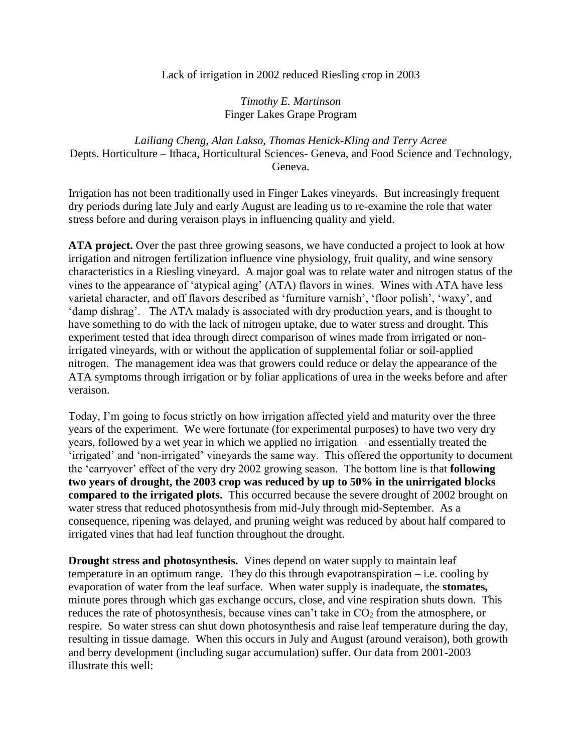Lack of irrigation in 2002 reduced Riesling crop in 2003

*Timothy E. Martinson* Finger Lakes Grape Program

*Lailiang Cheng, Alan Lakso, Thomas Henick-Kling and Terry Acree* Depts. Horticulture – Ithaca, Horticultural Sciences- Geneva, and Food Science and Technology, Geneva.

Irrigation has not been traditionally used in Finger Lakes vineyards. But increasingly frequent dry periods during late July and early August are leading us to re-examine the role that water stress before and during veraison plays in influencing quality and yield.

**ATA project.** Over the past three growing seasons, we have conducted a project to look at how irrigation and nitrogen fertilization influence vine physiology, fruit quality, and wine sensory characteristics in a Riesling vineyard. A major goal was to relate water and nitrogen status of the vines to the appearance of 'atypical aging' (ATA) flavors in wines. Wines with ATA have less varietal character, and off flavors described as 'furniture varnish', 'floor polish', 'waxy', and 'damp dishrag'. The ATA malady is associated with dry production years, and is thought to have something to do with the lack of nitrogen uptake, due to water stress and drought. This experiment tested that idea through direct comparison of wines made from irrigated or nonirrigated vineyards, with or without the application of supplemental foliar or soil-applied nitrogen. The management idea was that growers could reduce or delay the appearance of the ATA symptoms through irrigation or by foliar applications of urea in the weeks before and after veraison.

Today, I'm going to focus strictly on how irrigation affected yield and maturity over the three years of the experiment. We were fortunate (for experimental purposes) to have two very dry years, followed by a wet year in which we applied no irrigation – and essentially treated the 'irrigated' and 'non-irrigated' vineyards the same way. This offered the opportunity to document the 'carryover' effect of the very dry 2002 growing season. The bottom line is that **following two years of drought, the 2003 crop was reduced by up to 50% in the unirrigated blocks compared to the irrigated plots.** This occurred because the severe drought of 2002 brought on water stress that reduced photosynthesis from mid-July through mid-September. As a consequence, ripening was delayed, and pruning weight was reduced by about half compared to irrigated vines that had leaf function throughout the drought.

**Drought stress and photosynthesis.** Vines depend on water supply to maintain leaf temperature in an optimum range. They do this through evapotranspiration  $-$  i.e. cooling by evaporation of water from the leaf surface. When water supply is inadequate, the **stomates,**  minute pores through which gas exchange occurs, close, and vine respiration shuts down. This reduces the rate of photosynthesis, because vines can't take in  $CO<sub>2</sub>$  from the atmosphere, or respire. So water stress can shut down photosynthesis and raise leaf temperature during the day, resulting in tissue damage. When this occurs in July and August (around veraison), both growth and berry development (including sugar accumulation) suffer. Our data from 2001-2003 illustrate this well: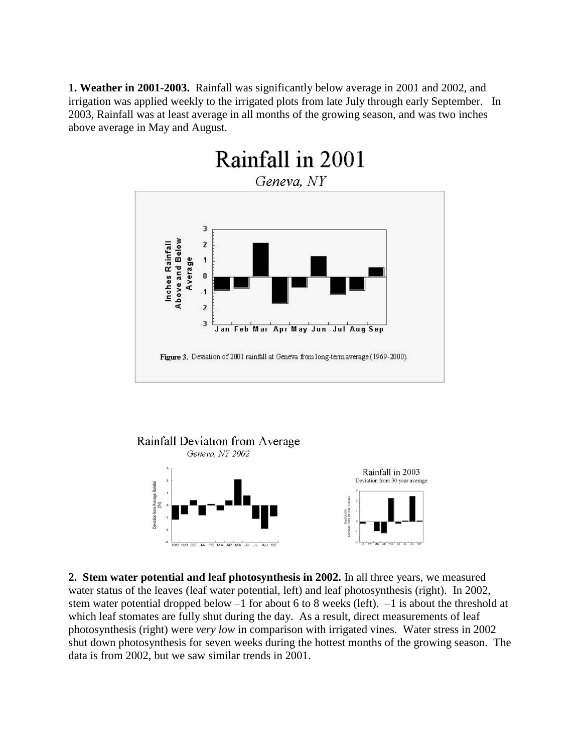**1. Weather in 2001-2003.** Rainfall was significantly below average in 2001 and 2002, and irrigation was applied weekly to the irrigated plots from late July through early September. In 2003, Rainfall was at least average in all months of the growing season, and was two inches above average in May and August.





**2. Stem water potential and leaf photosynthesis in 2002.** In all three years, we measured water status of the leaves (leaf water potential, left) and leaf photosynthesis (right). In 2002, stem water potential dropped below –1 for about 6 to 8 weeks (left). –1 is about the threshold at which leaf stomates are fully shut during the day. As a result, direct measurements of leaf photosynthesis (right) were *very low* in comparison with irrigated vines. Water stress in 2002 shut down photosynthesis for seven weeks during the hottest months of the growing season. The data is from 2002, but we saw similar trends in 2001.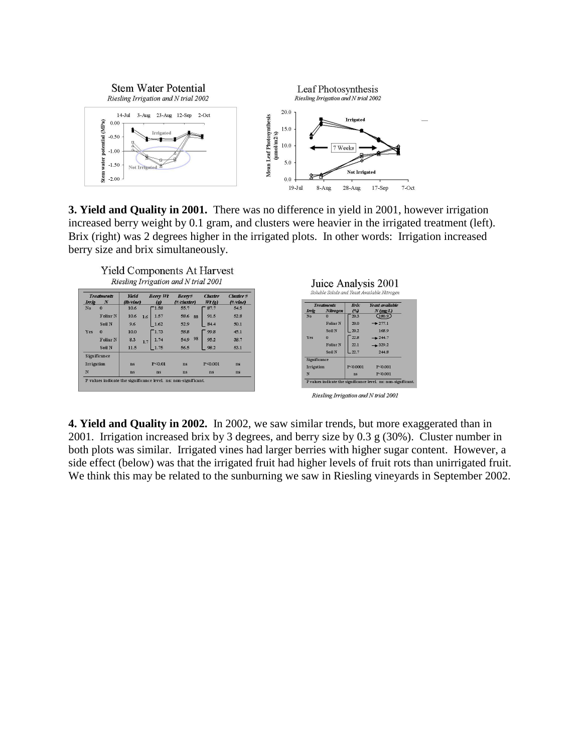

**3. Yield and Quality in 2001.** There was no difference in yield in 2001, however irrigation increased berry weight by 0.1 gram, and clusters were heavier in the irrigated treatment (left). Brix (right) was 2 degrees higher in the irrigated plots. In other words: Irrigation increased berry size and brix simultaneously.



| Irrie          | <b>Treatments</b><br>N | Yield<br>(Ib/vine) | Berry Wt<br>$\left( \mathbf{r} \right)$ | Berry#<br>(#/cluster) | Cluster<br>Wt(e) | Cluster#<br>(#/vine) |
|----------------|------------------------|--------------------|-----------------------------------------|-----------------------|------------------|----------------------|
| N <sub>0</sub> | $\Omega$               | 10.6               | 1.58                                    | 55.7                  | 87.7             | 54.5                 |
|                | <b>Foliar N</b>        | 10.6<br>1.6        | 1.57                                    | 58.6<br>88            | 91.5             | 52.8                 |
|                | Soil N                 | 9.6                | 1.62                                    | 52.9                  | 84.4             | 50.1                 |
| Yes            | $\Omega$               | 10.0               | 1.73                                    | 58.8                  | 99.8             | 45.1                 |
|                | <b>Foliar N</b>        | 8.3<br>1.7         | 1.74                                    | 98<br>54.9            | 95.2             | 38.7                 |
|                | <b>Soil N</b>          | 11.5               | 1.75                                    | 56.5                  | 98.2             | 53.1                 |
|                | Significance           |                    |                                         |                       |                  |                      |
| Irrigation     |                        | ns                 | $P \le 0.01$                            | ns                    | $P \le 0.001$    | ns                   |
| N              |                        | ns                 | ns                                      | ns                    | ns               | <b>ns</b>            |



|              |                 | ----            | .              |
|--------------|-----------------|-----------------|----------------|
| Yes          | $\bf{0}$        | 22.8            | $+244.7$       |
|              | <b>Foliar N</b> | 22.1            | $+329.2$       |
|              | <b>Soil N</b>   | 22.7            | 244.8          |
| Significance |                 |                 |                |
| Irrigation   |                 | $P \leq 0.0001$ | $P \leq 0.001$ |
| N            |                 | ns              | $P \le 0.001$  |

Riesling Irrigation and N trial 2001

**4. Yield and Quality in 2002.** In 2002, we saw similar trends, but more exaggerated than in 2001. Irrigation increased brix by 3 degrees, and berry size by 0.3 g (30%). Cluster number in both plots was similar. Irrigated vines had larger berries with higher sugar content. However, a side effect (below) was that the irrigated fruit had higher levels of fruit rots than unirrigated fruit. We think this may be related to the sunburning we saw in Riesling vineyards in September 2002.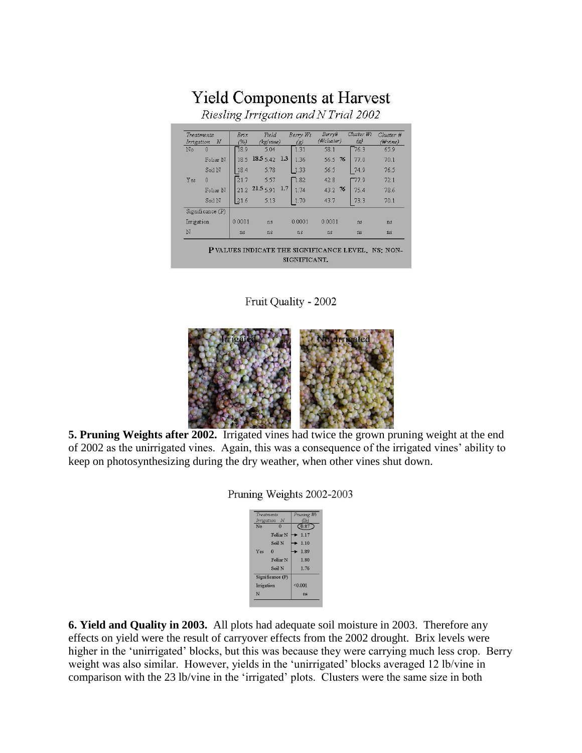## **Yield Components at Harvest**

Riesling Irrigation and N Trial 2002

| Irrigation | Treatments<br>$\boldsymbol{N}$ | Brix<br>(%) | Yield<br>(kg/vine) | Berry Wt<br>(g) | Berry#<br>(#/cluster) | Cluster Wt<br>$\left( g\right)$ | Cluster #<br>$(\# \text{vine})$ |
|------------|--------------------------------|-------------|--------------------|-----------------|-----------------------|---------------------------------|---------------------------------|
| No         | $\mathbf 0$                    | 18.9        | 5.04               | 1.31            | 58.1                  | 76.3                            | 65.9                            |
|            | Foliar N                       | 18.5        | $18.5542$ 1.3      | 1.36            | 56.5 76               | 77.0                            | 70.1                            |
|            | Soil N                         | 18.4        | 5.78               | .33             | 56.5                  | 74.9                            | 76.5                            |
| Yes        | 0                              | 21.7        | 5.57               | 1.82            | 42.8                  | 77.9                            | 72.1                            |
|            | Foliar N                       | 21.2        | 21.5591<br>1.7     | 1 74            | -76<br>43.2           | 75.4                            | 78.6                            |
|            | Soil N                         | 21.6        | 5.13               | 1.70            | 43.7                  | 73.3                            | 70.1                            |
|            | Significance (P)               |             |                    |                 |                       |                                 |                                 |
| Irrigation |                                | 0.0001      | ns                 | 0.0001          | 0.0001                | ns                              | ns                              |
| N          |                                | ns          | ns                 | ns              | ns                    | ns                              | ns                              |

Fruit Quality - 2002



**5. Pruning Weights after 2002.** Irrigated vines had twice the grown pruning weight at the end of 2002 as the unirrigated vines. Again, this was a consequence of the irrigated vines' ability to keep on photosynthesizing during the dry weather, when other vines shut down.

Pruning Weights 2002-2003

|            | <b>Treatments</b>   | Pruning Wt                 |
|------------|---------------------|----------------------------|
| Irrigation | N                   | (1b)                       |
| No         | $\Omega$            | $C_{0.87}$                 |
|            | Foliar <sub>N</sub> | 1.17                       |
|            | Soil N              | $\blacktriangleright$ 1.10 |
| Yes        | $\Omega$            | 1.89                       |
|            | Foliar <sub>N</sub> | 1.80                       |
|            | Soil N              | 1.76                       |
|            | Significance (P)    |                            |
| Irrigation |                     | < 0.001                    |
| N          |                     | ns                         |

**6. Yield and Quality in 2003.** All plots had adequate soil moisture in 2003. Therefore any effects on yield were the result of carryover effects from the 2002 drought. Brix levels were higher in the 'unirrigated' blocks, but this was because they were carrying much less crop. Berry weight was also similar. However, yields in the 'unirrigated' blocks averaged 12 lb/vine in comparison with the 23 lb/vine in the 'irrigated' plots. Clusters were the same size in both